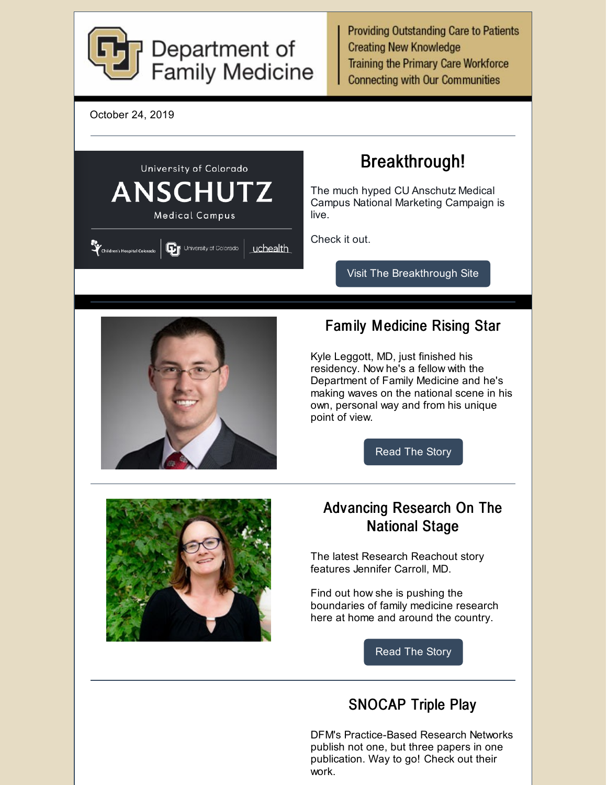

**Providing Outstanding Care to Patients Creating New Knowledge Training the Primary Care Workforce Connecting with Our Communities** 





## SNOCAP Triple Play

DFM's Practice-Based Research Networks publish not one, but three papers in one publication. Way to go! Check out their work.